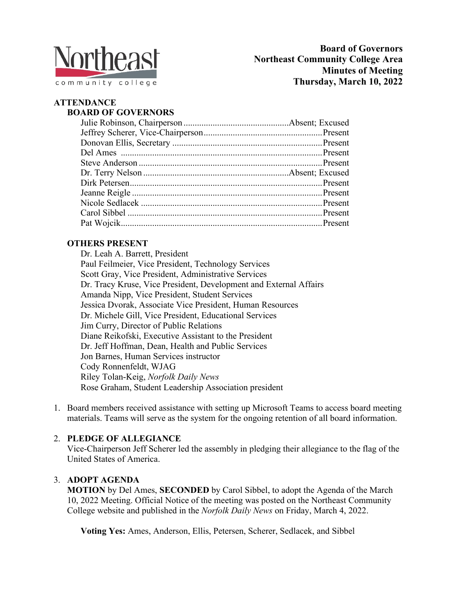

# **ATTENDANCE**

## **BOARD OF GOVERNORS**

## **OTHERS PRESENT**

Dr. Leah A. Barrett, President Paul Feilmeier, Vice President, Technology Services Scott Gray, Vice President, Administrative Services Dr. Tracy Kruse, Vice President, Development and External Affairs Amanda Nipp, Vice President, Student Services Jessica Dvorak, Associate Vice President, Human Resources Dr. Michele Gill, Vice President, Educational Services Jim Curry, Director of Public Relations Diane Reikofski, Executive Assistant to the President Dr. Jeff Hoffman, Dean, Health and Public Services Jon Barnes, Human Services instructor Cody Ronnenfeldt, WJAG Riley Tolan-Keig, *Norfolk Daily News* Rose Graham, Student Leadership Association president

1. Board members received assistance with setting up Microsoft Teams to access board meeting materials. Teams will serve as the system for the ongoing retention of all board information.

## 2. **PLEDGE OF ALLEGIANCE**

Vice-Chairperson Jeff Scherer led the assembly in pledging their allegiance to the flag of the United States of America.

## 3. **ADOPT AGENDA**

**MOTION** by Del Ames, **SECONDED** by Carol Sibbel, to adopt the Agenda of the March 10, 2022 Meeting. Official Notice of the meeting was posted on the Northeast Community College website and published in the *Norfolk Daily News* on Friday, March 4, 2022.

**Voting Yes:** Ames, Anderson, Ellis, Petersen, Scherer, Sedlacek, and Sibbel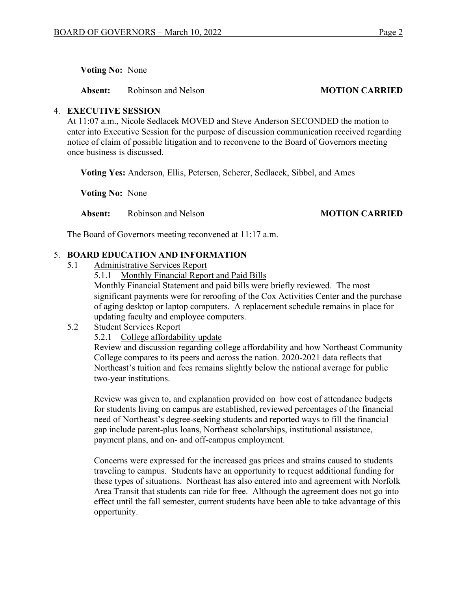**Voting No:** None

**Absent:** Robinson and Nelson **MOTION CARRIED** 

#### 4. **EXECUTIVE SESSION**

At 11:07 a.m., Nicole Sedlacek MOVED and Steve Anderson SECONDED the motion to enter into Executive Session for the purpose of discussion communication received regarding notice of claim of possible litigation and to reconvene to the Board of Governors meeting once business is discussed.

**Voting Yes:** Anderson, Ellis, Petersen, Scherer, Sedlacek, Sibbel, and Ames

**Voting No:** None

**Absent:** Robinson and Nelson **MOTION CARRIED** 

The Board of Governors meeting reconvened at 11:17 a.m.

### 5. **BOARD EDUCATION AND INFORMATION**

- 5.1 Administrative Services Report
	- 5.1.1 Monthly Financial Report and Paid Bills Monthly Financial Statement and paid bills were briefly reviewed. The most significant payments were for reroofing of the Cox Activities Center and the purchase of aging desktop or laptop computers. A replacement schedule remains in place for updating faculty and employee computers.
- 5.2 Student Services Report
	- 5.2.1 College affordability update

Review and discussion regarding college affordability and how Northeast Community College compares to its peers and across the nation. 2020-2021 data reflects that Northeast's tuition and fees remains slightly below the national average for public two-year institutions.

Review was given to, and explanation provided on how cost of attendance budgets for students living on campus are established, reviewed percentages of the financial need of Northeast's degree-seeking students and reported ways to fill the financial gap include parent-plus loans, Northeast scholarships, institutional assistance, payment plans, and on- and off-campus employment.

Concerns were expressed for the increased gas prices and strains caused to students traveling to campus. Students have an opportunity to request additional funding for these types of situations. Northeast has also entered into and agreement with Norfolk Area Transit that students can ride for free. Although the agreement does not go into effect until the fall semester, current students have been able to take advantage of this opportunity.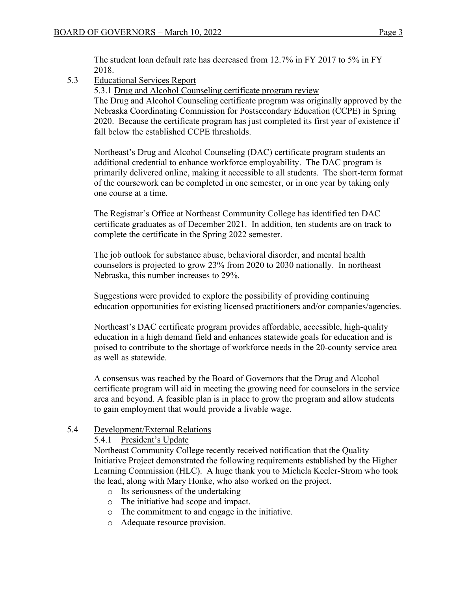The student loan default rate has decreased from 12.7% in FY 2017 to 5% in FY 2018.

5.3 Educational Services Report

5.3.1 Drug and Alcohol Counseling certificate program review

The Drug and Alcohol Counseling certificate program was originally approved by the Nebraska Coordinating Commission for Postsecondary Education (CCPE) in Spring 2020. Because the certificate program has just completed its first year of existence if fall below the established CCPE thresholds.

Northeast's Drug and Alcohol Counseling (DAC) certificate program students an additional credential to enhance workforce employability. The DAC program is primarily delivered online, making it accessible to all students. The short-term format of the coursework can be completed in one semester, or in one year by taking only one course at a time.

The Registrar's Office at Northeast Community College has identified ten DAC certificate graduates as of December 2021. In addition, ten students are on track to complete the certificate in the Spring 2022 semester.

The job outlook for substance abuse, behavioral disorder, and mental health counselors is projected to grow 23% from 2020 to 2030 nationally. In northeast Nebraska, this number increases to 29%.

Suggestions were provided to explore the possibility of providing continuing education opportunities for existing licensed practitioners and/or companies/agencies.

Northeast's DAC certificate program provides affordable, accessible, high-quality education in a high demand field and enhances statewide goals for education and is poised to contribute to the shortage of workforce needs in the 20-county service area as well as statewide.

A consensus was reached by the Board of Governors that the Drug and Alcohol certificate program will aid in meeting the growing need for counselors in the service area and beyond. A feasible plan is in place to grow the program and allow students to gain employment that would provide a livable wage.

## 5.4 Development/External Relations

5.4.1 President's Update

Northeast Community College recently received notification that the Quality Initiative Project demonstrated the following requirements established by the Higher Learning Commission (HLC). A huge thank you to Michela Keeler-Strom who took the lead, along with Mary Honke, who also worked on the project.

- o Its seriousness of the undertaking
- o The initiative had scope and impact.
- o The commitment to and engage in the initiative.
- o Adequate resource provision.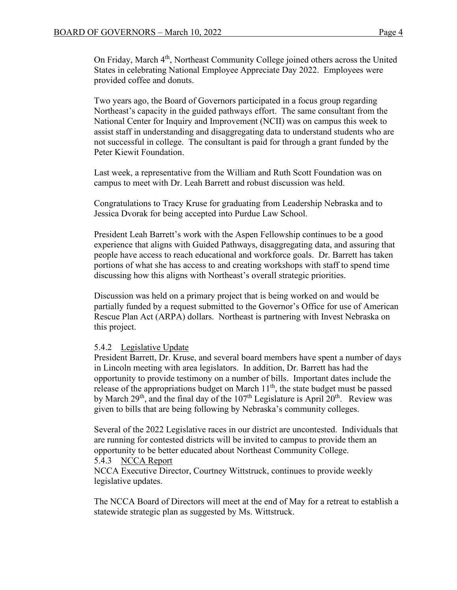On Friday, March 4th, Northeast Community College joined others across the United States in celebrating National Employee Appreciate Day 2022. Employees were provided coffee and donuts.

Two years ago, the Board of Governors participated in a focus group regarding Northeast's capacity in the guided pathways effort. The same consultant from the National Center for Inquiry and Improvement (NCII) was on campus this week to assist staff in understanding and disaggregating data to understand students who are not successful in college. The consultant is paid for through a grant funded by the Peter Kiewit Foundation.

Last week, a representative from the William and Ruth Scott Foundation was on campus to meet with Dr. Leah Barrett and robust discussion was held.

Congratulations to Tracy Kruse for graduating from Leadership Nebraska and to Jessica Dvorak for being accepted into Purdue Law School.

President Leah Barrett's work with the Aspen Fellowship continues to be a good experience that aligns with Guided Pathways, disaggregating data, and assuring that people have access to reach educational and workforce goals. Dr. Barrett has taken portions of what she has access to and creating workshops with staff to spend time discussing how this aligns with Northeast's overall strategic priorities.

Discussion was held on a primary project that is being worked on and would be partially funded by a request submitted to the Governor's Office for use of American Rescue Plan Act (ARPA) dollars. Northeast is partnering with Invest Nebraska on this project.

#### 5.4.2 Legislative Update

President Barrett, Dr. Kruse, and several board members have spent a number of days in Lincoln meeting with area legislators. In addition, Dr. Barrett has had the opportunity to provide testimony on a number of bills. Important dates include the release of the appropriations budget on March  $11<sup>th</sup>$ , the state budget must be passed by March  $29<sup>th</sup>$ , and the final day of the  $107<sup>th</sup>$  Legislature is April  $20<sup>th</sup>$ . Review was given to bills that are being following by Nebraska's community colleges.

Several of the 2022 Legislative races in our district are uncontested. Individuals that are running for contested districts will be invited to campus to provide them an opportunity to be better educated about Northeast Community College. 5.4.3 NCCA Report

NCCA Executive Director, Courtney Wittstruck, continues to provide weekly legislative updates.

The NCCA Board of Directors will meet at the end of May for a retreat to establish a statewide strategic plan as suggested by Ms. Wittstruck.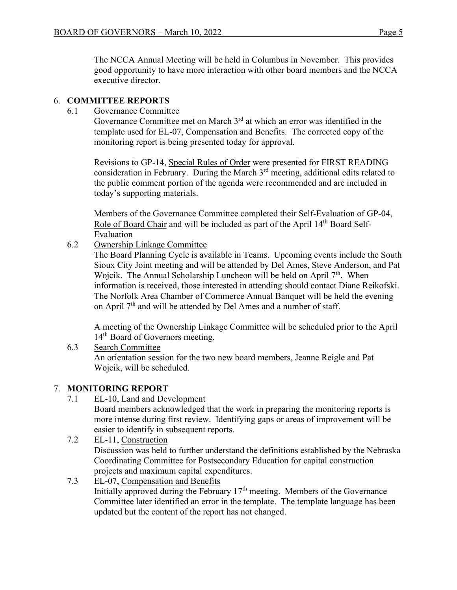The NCCA Annual Meeting will be held in Columbus in November. This provides good opportunity to have more interaction with other board members and the NCCA executive director.

### 6. **COMMITTEE REPORTS**

6.1 Governance Committee

Governance Committee met on March 3<sup>rd</sup> at which an error was identified in the template used for EL-07, Compensation and Benefits. The corrected copy of the monitoring report is being presented today for approval.

 Revisions to GP-14, Special Rules of Order were presented for FIRST READING consideration in February. During the March  $3<sup>rd</sup>$  meeting, additional edits related to the public comment portion of the agenda were recommended and are included in today's supporting materials.

Members of the Governance Committee completed their Self-Evaluation of GP-04, Role of Board Chair and will be included as part of the April 14<sup>th</sup> Board Self-Evaluation

6.2 Ownership Linkage Committee

 The Board Planning Cycle is available in Teams. Upcoming events include the South Sioux City Joint meeting and will be attended by Del Ames, Steve Anderson, and Pat Wojcik. The Annual Scholarship Luncheon will be held on April 7<sup>th</sup>. When information is received, those interested in attending should contact Diane Reikofski. The Norfolk Area Chamber of Commerce Annual Banquet will be held the evening on April  $7<sup>th</sup>$  and will be attended by Del Ames and a number of staff.

 A meeting of the Ownership Linkage Committee will be scheduled prior to the April 14<sup>th</sup> Board of Governors meeting.

6.3 Search Committee An orientation session for the two new board members, Jeanne Reigle and Pat Wojcik, will be scheduled.

## 7. **MONITORING REPORT**

7.1 EL-10, Land and Development

Board members acknowledged that the work in preparing the monitoring reports is more intense during first review. Identifying gaps or areas of improvement will be easier to identify in subsequent reports.

- 7.2 EL-11, Construction Discussion was held to further understand the definitions established by the Nebraska Coordinating Committee for Postsecondary Education for capital construction projects and maximum capital expenditures.
- 7.3 EL-07, Compensation and Benefits Initially approved during the February 17<sup>th</sup> meeting. Members of the Governance Committee later identified an error in the template. The template language has been updated but the content of the report has not changed.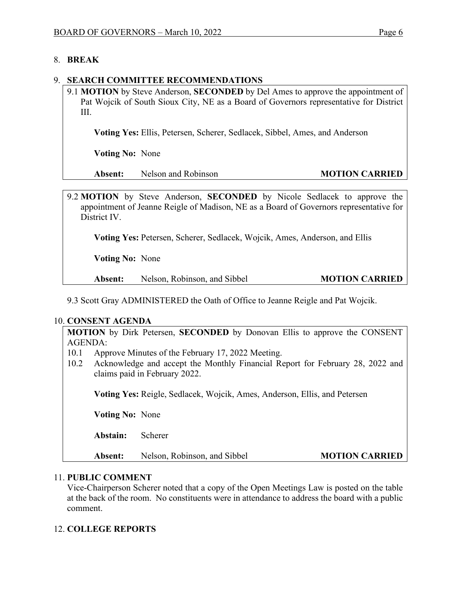#### 8. **BREAK**

#### 9. **SEARCH COMMITTEE RECOMMENDATIONS**

9.1 **MOTION** by Steve Anderson, **SECONDED** by Del Ames to approve the appointment of Pat Wojcik of South Sioux City, NE as a Board of Governors representative for District III.

**Voting Yes:** Ellis, Petersen, Scherer, Sedlacek, Sibbel, Ames, and Anderson

 **Voting No:** None

**Absent:** Nelson and Robinson **MOTION CARRIED** 

9.2 **MOTION** by Steve Anderson, **SECONDED** by Nicole Sedlacek to approve the appointment of Jeanne Reigle of Madison, NE as a Board of Governors representative for District IV.

**Voting Yes:** Petersen, Scherer, Sedlacek, Wojcik, Ames, Anderson, and Ellis

 **Voting No:** None

**Absent:** Nelson, Robinson, and Sibbel **MOTION CARRIED** 

9.3 Scott Gray ADMINISTERED the Oath of Office to Jeanne Reigle and Pat Wojcik.

#### 10. **CONSENT AGENDA**

**MOTION** by Dirk Petersen, **SECONDED** by Donovan Ellis to approve the CONSENT AGENDA:

- 10.1 Approve Minutes of the February 17, 2022 Meeting.
- 10.2 Acknowledge and accept the Monthly Financial Report for February 28, 2022 and claims paid in February 2022.

**Voting Yes:** Reigle, Sedlacek, Wojcik, Ames, Anderson, Ellis, and Petersen

 **Voting No:** None

**Abstain:** Scherer

**Absent:** Nelson, Robinson, and Sibbel **MOTION CARRIED** 

#### 11. **PUBLIC COMMENT**

Vice-Chairperson Scherer noted that a copy of the Open Meetings Law is posted on the table at the back of the room. No constituents were in attendance to address the board with a public comment.

### 12. **COLLEGE REPORTS**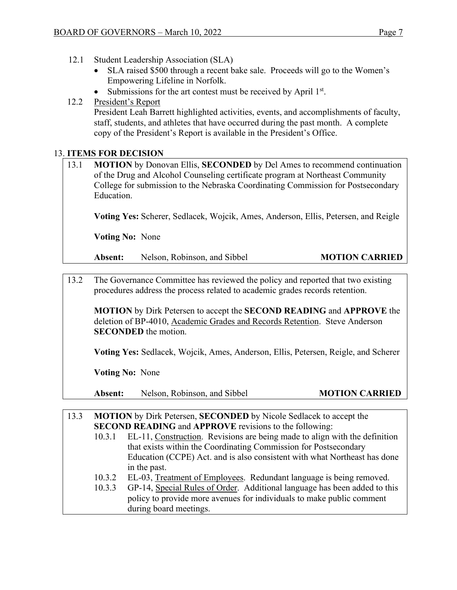- 12.1 Student Leadership Association (SLA)
	- SLA raised \$500 through a recent bake sale. Proceeds will go to the Women's Empowering Lifeline in Norfolk.
	- Submissions for the art contest must be received by April  $1<sup>st</sup>$ .

## 12.2 President's Report

President Leah Barrett highlighted activities, events, and accomplishments of faculty, staff, students, and athletes that have occurred during the past month. A complete copy of the President's Report is available in the President's Office.

## 13. **ITEMS FOR DECISION**

| 13.1 | <b>MOTION</b> by Donovan Ellis, <b>SECONDED</b> by Del Ames to recommend continuation |
|------|---------------------------------------------------------------------------------------|
|      | of the Drug and Alcohol Counseling certificate program at Northeast Community         |
|      | College for submission to the Nebraska Coordinating Commission for Postsecondary      |
|      | Education.                                                                            |

**Voting Yes:** Scherer, Sedlacek, Wojcik, Ames, Anderson, Ellis, Petersen, and Reigle

 **Voting No:** None

**Absent:** Nelson, Robinson, and Sibbel **MOTION CARRIED** 

13.2 The Governance Committee has reviewed the policy and reported that two existing procedures address the process related to academic grades records retention.

**MOTION** by Dirk Petersen to accept the **SECOND READING** and **APPROVE** the deletion of BP-4010, Academic Grades and Records Retention. Steve Anderson **SECONDED** the motion.

**Voting Yes:** Sedlacek, Wojcik, Ames, Anderson, Ellis, Petersen, Reigle, and Scherer

 **Voting No:** None

Absent: Nelson, Robinson, and Sibbel **MOTION CARRIED** 

| 13.3 |                                                               | <b>MOTION</b> by Dirk Petersen, <b>SECONDED</b> by Nicole Sedlacek to accept the |  |
|------|---------------------------------------------------------------|----------------------------------------------------------------------------------|--|
|      | <b>SECOND READING and APPROVE revisions to the following:</b> |                                                                                  |  |
|      | 10.3.1                                                        | EL-11, Construction. Revisions are being made to align with the definition       |  |
|      |                                                               | that exists within the Coordinating Commission for Postsecondary                 |  |
|      |                                                               | Education (CCPE) Act. and is also consistent with what Northeast has done        |  |
|      |                                                               | in the past.                                                                     |  |
|      | 10.3.2                                                        | EL-03, Treatment of Employees. Redundant language is being removed.              |  |
|      | 10.3.3                                                        | GP-14, Special Rules of Order. Additional language has been added to this        |  |
|      |                                                               | policy to provide more avenues for individuals to make public comment            |  |
|      |                                                               | during board meetings.                                                           |  |